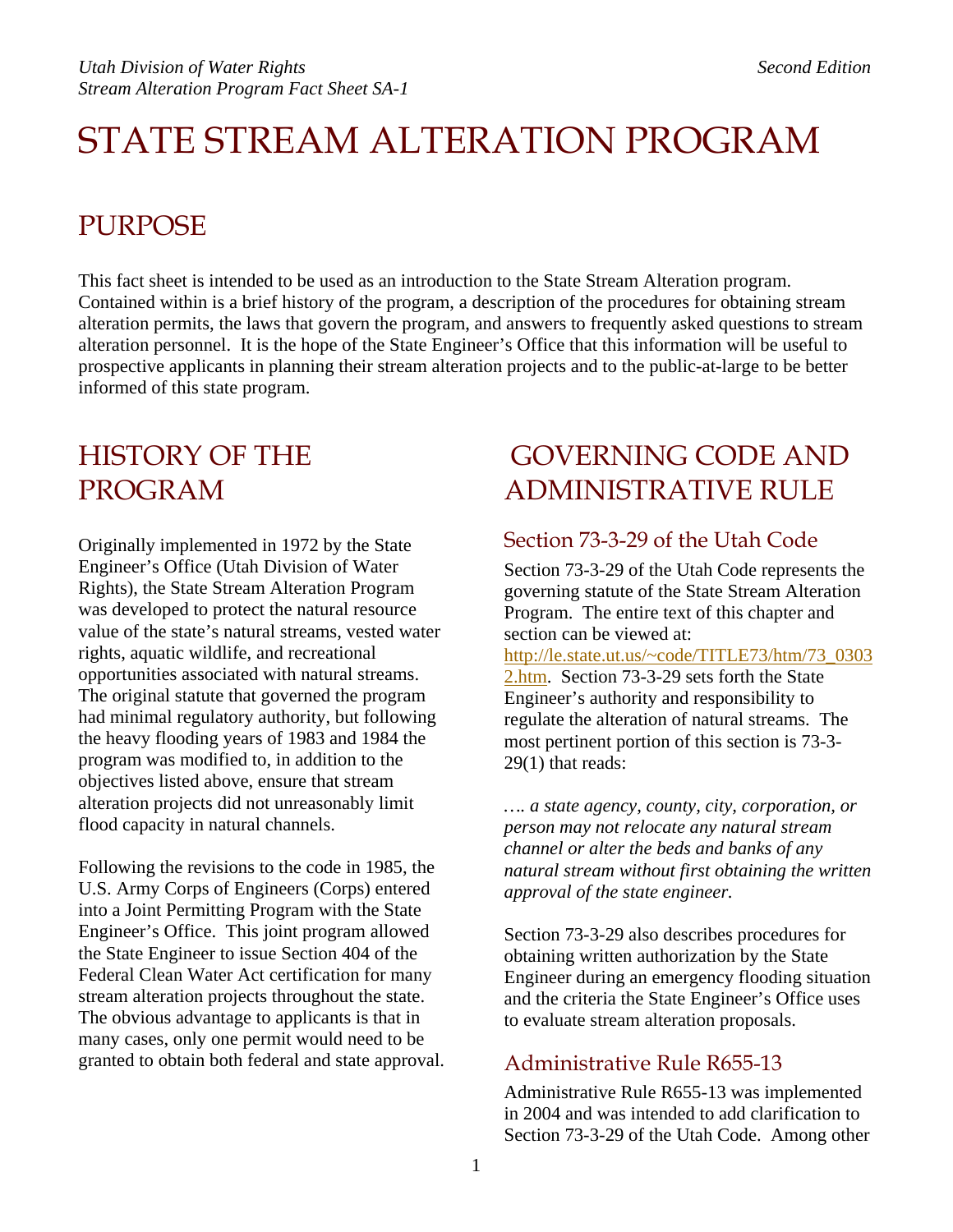# STATE STREAM ALTERATION PROGRAM

# PURPOSE

This fact sheet is intended to be used as an introduction to the State Stream Alteration program. Contained within is a brief history of the program, a description of the procedures for obtaining stream alteration permits, the laws that govern the program, and answers to frequently asked questions to stream alteration personnel. It is the hope of the State Engineer's Office that this information will be useful to prospective applicants in planning their stream alteration projects and to the public-at-large to be better informed of this state program.

# HISTORY OF THE PROGRAM

Originally implemented in 1972 by the State Engineer's Office (Utah Division of Water Rights), the State Stream Alteration Program was developed to protect the natural resource value of the state's natural streams, vested water rights, aquatic wildlife, and recreational opportunities associated with natural streams. The original statute that governed the program had minimal regulatory authority, but following the heavy flooding years of 1983 and 1984 the program was modified to, in addition to the objectives listed above, ensure that stream alteration projects did not unreasonably limit flood capacity in natural channels.

Following the revisions to the code in 1985, the U.S. Army Corps of Engineers (Corps) entered into a Joint Permitting Program with the State Engineer's Office. This joint program allowed the State Engineer to issue Section 404 of the Federal Clean Water Act certification for many stream alteration projects throughout the state. The obvious advantage to applicants is that in many cases, only one permit would need to be granted to obtain both federal and state approval.

# GOVERNING CODE AND ADMINISTRATIVE RULE

### Section 73-3-29 of the Utah Code

Section 73-3-29 of the Utah Code represents the governing statute of the State Stream Alteration Program. The entire text of this chapter and section can be viewed at: [http://le.state.ut.us/~code/TITLE73/htm/73\\_0303](http://le.state.ut.us/~code/TITLE73/htm/73_03032.htm) [2.htm.](http://le.state.ut.us/~code/TITLE73/htm/73_03032.htm) Section 73-3-29 sets forth the State Engineer's authority and responsibility to regulate the alteration of natural streams. The most pertinent portion of this section is 73-3- 29(1) that reads:

*…. a state agency, county, city, corporation, or person may not relocate any natural stream channel or alter the beds and banks of any natural stream without first obtaining the written approval of the state engineer.* 

Section 73-3-29 also describes procedures for obtaining written authorization by the State Engineer during an emergency flooding situation and the criteria the State Engineer's Office uses to evaluate stream alteration proposals.

### Administrative Rule R655-13

Administrative Rule R655-13 was implemented in 2004 and was intended to add clarification to Section 73-3-29 of the Utah Code. Among other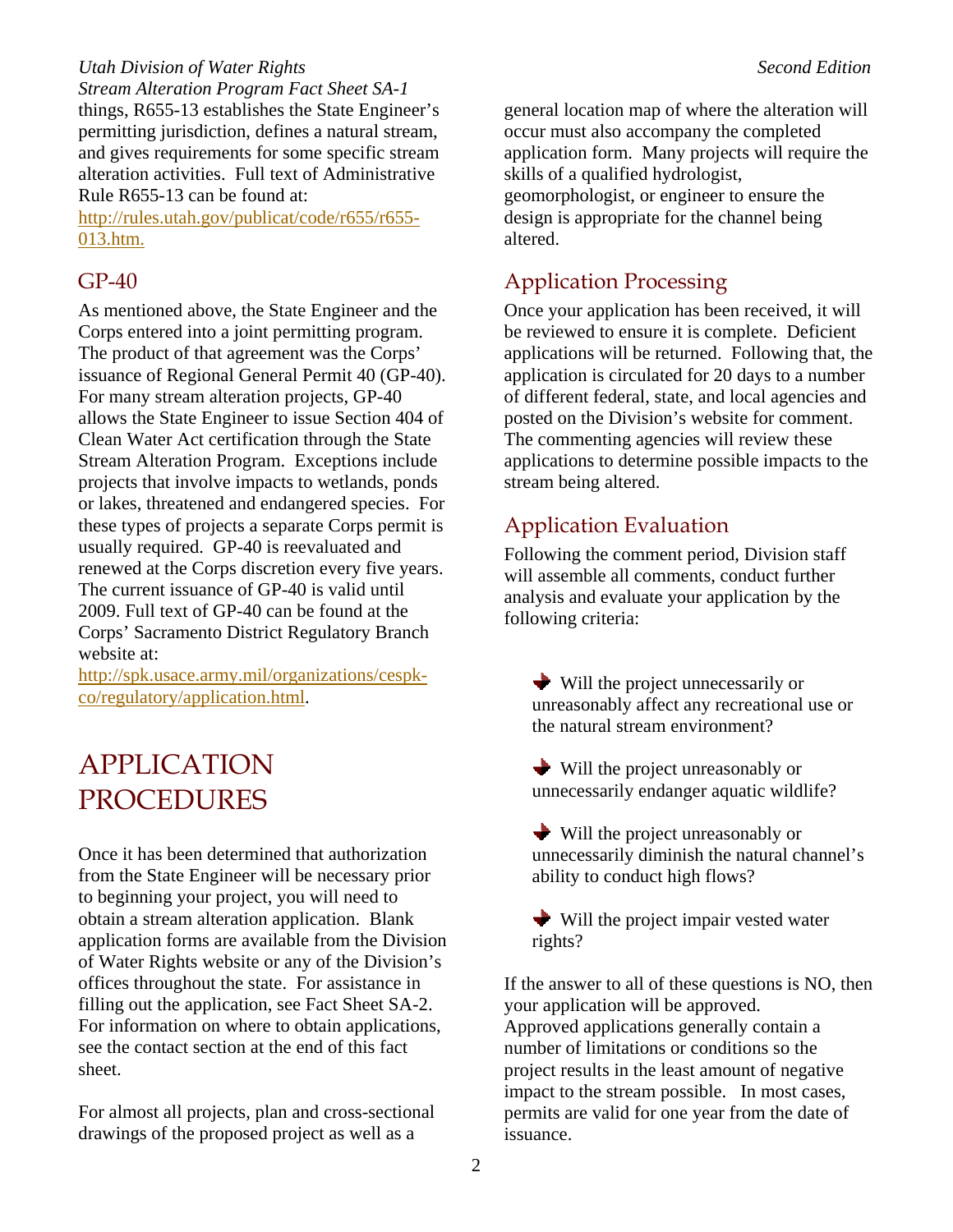*Utah Division of Water Rights*  $\blacksquare$ *Stream Alteration Program Fact Sheet SA-1*  things, R655-13 establishes the State Engineer's permitting jurisdiction, defines a natural stream, and gives requirements for some specific stream alteration activities. Full text of Administrative Rule R655-13 can be found at:

[http://rules.utah.gov/publicat/code/r655/r655-](http://rules.utah.gov/publicat/code/r655/r655-013.htm.) [013.htm.](http://rules.utah.gov/publicat/code/r655/r655-013.htm.)

### GP-40

As mentioned above, the State Engineer and the Corps entered into a joint permitting program. The product of that agreement was the Corps' issuance of Regional General Permit 40 (GP-40). For many stream alteration projects, GP-40 allows the State Engineer to issue Section 404 of Clean Water Act certification through the State Stream Alteration Program. Exceptions include projects that involve impacts to wetlands, ponds or lakes, threatened and endangered species. For these types of projects a separate Corps permit is usually required. GP-40 is reevaluated and renewed at the Corps discretion every five years. The current issuance of GP-40 is valid until 2009. Full text of GP-40 can be found at the Corps' Sacramento District Regulatory Branch website at:

[http://spk.usace.army.mil/organizations/cespk](http://spk.usace.army.mil/organizations/cespk-co/regulatory/application.html)[co/regulatory/application.html.](http://spk.usace.army.mil/organizations/cespk-co/regulatory/application.html)

# APPLICATION PROCEDURES

Once it has been determined that authorization from the State Engineer will be necessary prior to beginning your project, you will need to obtain a stream alteration application. Blank application forms are available from the Division of Water Rights website or any of the Division's offices throughout the state. For assistance in filling out the application, see Fact Sheet SA-2. For information on where to obtain applications, see the contact section at the end of this fact sheet.

For almost all projects, plan and cross-sectional drawings of the proposed project as well as a

general location map of where the alteration will occur must also accompany the completed application form. Many projects will require the skills of a qualified hydrologist, geomorphologist, or engineer to ensure the design is appropriate for the channel being altered.

# Application Processing

Once your application has been received, it will be reviewed to ensure it is complete. Deficient applications will be returned. Following that, the application is circulated for 20 days to a number of different federal, state, and local agencies and posted on the Division's website for comment. The commenting agencies will review these applications to determine possible impacts to the stream being altered.

### Application Evaluation

Following the comment period, Division staff will assemble all comments, conduct further analysis and evaluate your application by the following criteria:

- Will the project unnecessarily or unreasonably affect any recreational use or the natural stream environment?
- Will the project unreasonably or unnecessarily endanger aquatic wildlife?
- Will the project unreasonably or unnecessarily diminish the natural channel's ability to conduct high flows?
- $\blacktriangleright$  Will the project impair vested water rights?

If the answer to all of these questions is NO, then your application will be approved. Approved applications generally contain a number of limitations or conditions so the project results in the least amount of negative impact to the stream possible. In most cases, permits are valid for one year from the date of issuance.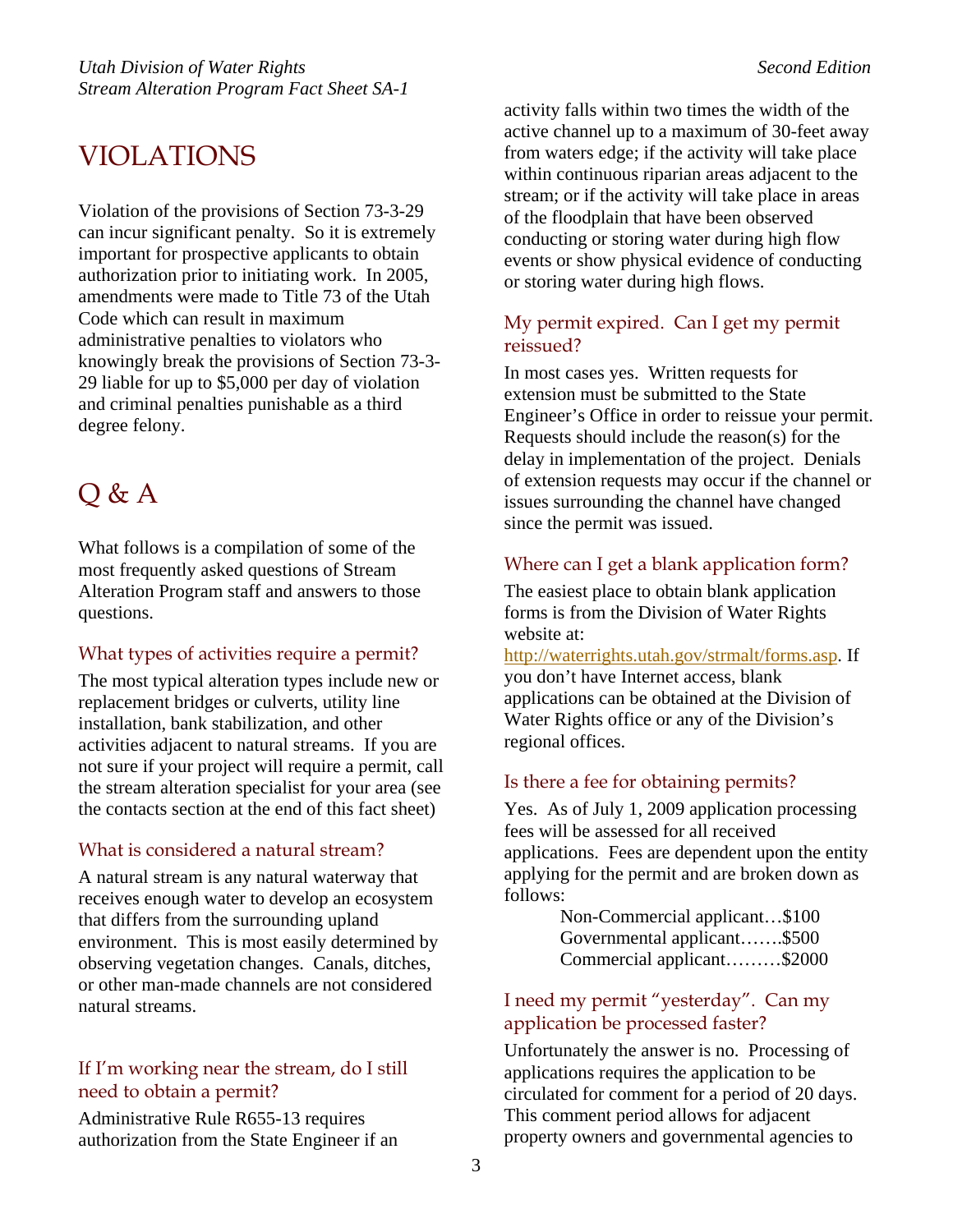# VIOLATIONS

Violation of the provisions of Section 73-3-29 can incur significant penalty. So it is extremely important for prospective applicants to obtain authorization prior to initiating work. In 2005, amendments were made to Title 73 of the Utah Code which can result in maximum administrative penalties to violators who knowingly break the provisions of Section 73-3- 29 liable for up to \$5,000 per day of violation and criminal penalties punishable as a third degree felony.

# Q & A

What follows is a compilation of some of the most frequently asked questions of Stream Alteration Program staff and answers to those questions.

### What types of activities require a permit?

The most typical alteration types include new or replacement bridges or culverts, utility line installation, bank stabilization, and other activities adjacent to natural streams. If you are not sure if your project will require a permit, call the stream alteration specialist for your area (see the contacts section at the end of this fact sheet)

### What is considered a natural stream?

A natural stream is any natural waterway that receives enough water to develop an ecosystem that differs from the surrounding upland environment. This is most easily determined by observing vegetation changes. Canals, ditches, or other man-made channels are not considered natural streams.

### If I'm working near the stream, do I still need to obtain a permit?

Administrative Rule R655-13 requires authorization from the State Engineer if an activity falls within two times the width of the active channel up to a maximum of 30-feet away from waters edge; if the activity will take place within continuous riparian areas adjacent to the stream; or if the activity will take place in areas of the floodplain that have been observed conducting or storing water during high flow events or show physical evidence of conducting or storing water during high flows.

### My permit expired. Can I get my permit reissued?

In most cases yes. Written requests for extension must be submitted to the State Engineer's Office in order to reissue your permit. Requests should include the reason(s) for the delay in implementation of the project. Denials of extension requests may occur if the channel or issues surrounding the channel have changed since the permit was issued.

### Where can I get a blank application form?

The easiest place to obtain blank application forms is from the Division of Water Rights website at:

<http://waterrights.utah.gov/strmalt/forms.asp>. If you don't have Internet access, blank applications can be obtained at the Division of Water Rights office or any of the Division's regional offices.

### Is there a fee for obtaining permits?

Yes. As of July 1, 2009 application processing fees will be assessed for all received applications. Fees are dependent upon the entity applying for the permit and are broken down as follows:

> Non-Commercial applicant…\$100 Governmental applicant…….\$500 Commercial applicant………\$2000

### I need my permit "yesterday". Can my application be processed faster?

Unfortunately the answer is no. Processing of applications requires the application to be circulated for comment for a period of 20 days. This comment period allows for adjacent property owners and governmental agencies to